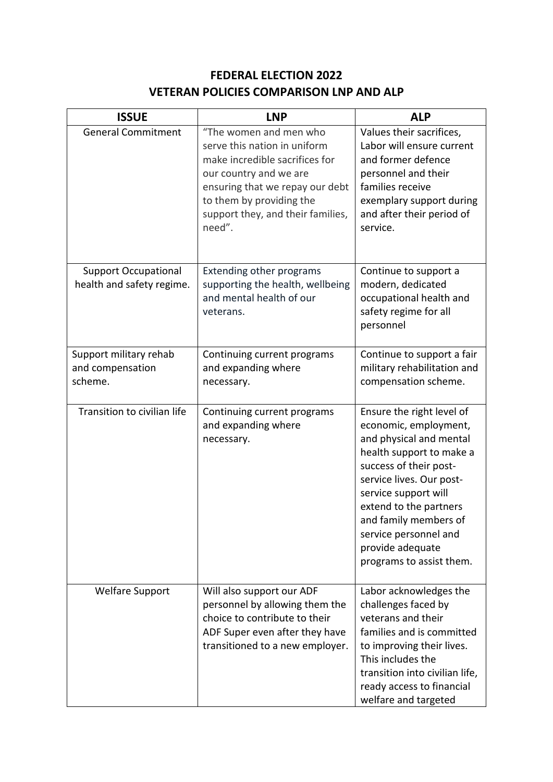## **FEDERAL ELECTION 2022 VETERAN POLICIES COMPARISON LNP AND ALP**

| <b>ISSUE</b>                                             | <b>LNP</b>                                                                                                                                                                                                                       | <b>ALP</b>                                                                                                                                                                                                                                                                                                          |
|----------------------------------------------------------|----------------------------------------------------------------------------------------------------------------------------------------------------------------------------------------------------------------------------------|---------------------------------------------------------------------------------------------------------------------------------------------------------------------------------------------------------------------------------------------------------------------------------------------------------------------|
| <b>General Commitment</b>                                | "The women and men who<br>serve this nation in uniform<br>make incredible sacrifices for<br>our country and we are<br>ensuring that we repay our debt<br>to them by providing the<br>support they, and their families,<br>need". | Values their sacrifices,<br>Labor will ensure current<br>and former defence<br>personnel and their<br>families receive<br>exemplary support during<br>and after their period of<br>service.                                                                                                                         |
| <b>Support Occupational</b><br>health and safety regime. | <b>Extending other programs</b><br>supporting the health, wellbeing<br>and mental health of our<br>veterans.                                                                                                                     | Continue to support a<br>modern, dedicated<br>occupational health and<br>safety regime for all<br>personnel                                                                                                                                                                                                         |
| Support military rehab<br>and compensation<br>scheme.    | Continuing current programs<br>and expanding where<br>necessary.                                                                                                                                                                 | Continue to support a fair<br>military rehabilitation and<br>compensation scheme.                                                                                                                                                                                                                                   |
| Transition to civilian life                              | Continuing current programs<br>and expanding where<br>necessary.                                                                                                                                                                 | Ensure the right level of<br>economic, employment,<br>and physical and mental<br>health support to make a<br>success of their post-<br>service lives. Our post-<br>service support will<br>extend to the partners<br>and family members of<br>service personnel and<br>provide adequate<br>programs to assist them. |
| <b>Welfare Support</b>                                   | Will also support our ADF<br>personnel by allowing them the<br>choice to contribute to their<br>ADF Super even after they have<br>transitioned to a new employer.                                                                | Labor acknowledges the<br>challenges faced by<br>veterans and their<br>families and is committed<br>to improving their lives.<br>This includes the<br>transition into civilian life,<br>ready access to financial<br>welfare and targeted                                                                           |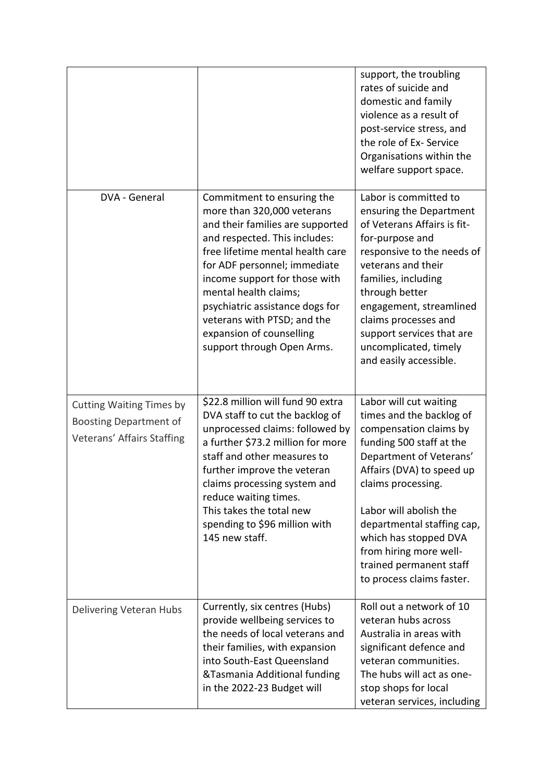|                                                                                                |                                                                                                                                                                                                                                                                                                                                                                                         | support, the troubling<br>rates of suicide and<br>domestic and family<br>violence as a result of<br>post-service stress, and<br>the role of Ex- Service<br>Organisations within the<br>welfare support space.                                                                                                                                             |
|------------------------------------------------------------------------------------------------|-----------------------------------------------------------------------------------------------------------------------------------------------------------------------------------------------------------------------------------------------------------------------------------------------------------------------------------------------------------------------------------------|-----------------------------------------------------------------------------------------------------------------------------------------------------------------------------------------------------------------------------------------------------------------------------------------------------------------------------------------------------------|
| DVA - General                                                                                  | Commitment to ensuring the<br>more than 320,000 veterans<br>and their families are supported<br>and respected. This includes:<br>free lifetime mental health care<br>for ADF personnel; immediate<br>income support for those with<br>mental health claims;<br>psychiatric assistance dogs for<br>veterans with PTSD; and the<br>expansion of counselling<br>support through Open Arms. | Labor is committed to<br>ensuring the Department<br>of Veterans Affairs is fit-<br>for-purpose and<br>responsive to the needs of<br>veterans and their<br>families, including<br>through better<br>engagement, streamlined<br>claims processes and<br>support services that are<br>uncomplicated, timely<br>and easily accessible.                        |
| <b>Cutting Waiting Times by</b><br><b>Boosting Department of</b><br>Veterans' Affairs Staffing | \$22.8 million will fund 90 extra<br>DVA staff to cut the backlog of<br>unprocessed claims: followed by<br>a further \$73.2 million for more<br>staff and other measures to<br>further improve the veteran<br>claims processing system and<br>reduce waiting times.<br>This takes the total new<br>spending to \$96 million with<br>145 new staff.                                      | Labor will cut waiting<br>times and the backlog of<br>compensation claims by<br>funding 500 staff at the<br>Department of Veterans'<br>Affairs (DVA) to speed up<br>claims processing.<br>Labor will abolish the<br>departmental staffing cap,<br>which has stopped DVA<br>from hiring more well-<br>trained permanent staff<br>to process claims faster. |
| Delivering Veteran Hubs                                                                        | Currently, six centres (Hubs)<br>provide wellbeing services to<br>the needs of local veterans and<br>their families, with expansion<br>into South-East Queensland<br>&Tasmania Additional funding<br>in the 2022-23 Budget will                                                                                                                                                         | Roll out a network of 10<br>veteran hubs across<br>Australia in areas with<br>significant defence and<br>veteran communities.<br>The hubs will act as one-<br>stop shops for local<br>veteran services, including                                                                                                                                         |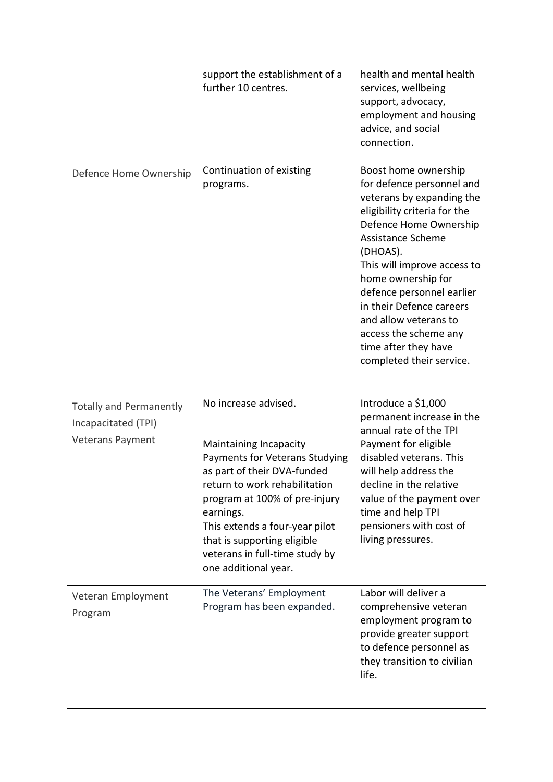|                                                                                  | support the establishment of a<br>further 10 centres.                                                                                                                                                                                                                                                                     | health and mental health<br>services, wellbeing<br>support, advocacy,<br>employment and housing<br>advice, and social<br>connection.                                                                                                                                                                                                                                                          |
|----------------------------------------------------------------------------------|---------------------------------------------------------------------------------------------------------------------------------------------------------------------------------------------------------------------------------------------------------------------------------------------------------------------------|-----------------------------------------------------------------------------------------------------------------------------------------------------------------------------------------------------------------------------------------------------------------------------------------------------------------------------------------------------------------------------------------------|
| Defence Home Ownership                                                           | Continuation of existing<br>programs.                                                                                                                                                                                                                                                                                     | Boost home ownership<br>for defence personnel and<br>veterans by expanding the<br>eligibility criteria for the<br>Defence Home Ownership<br>Assistance Scheme<br>(DHOAS).<br>This will improve access to<br>home ownership for<br>defence personnel earlier<br>in their Defence careers<br>and allow veterans to<br>access the scheme any<br>time after they have<br>completed their service. |
| <b>Totally and Permanently</b><br>Incapacitated (TPI)<br><b>Veterans Payment</b> | No increase advised.<br>Maintaining Incapacity<br>Payments for Veterans Studying<br>as part of their DVA-funded<br>return to work rehabilitation<br>program at 100% of pre-injury<br>earnings.<br>This extends a four-year pilot<br>that is supporting eligible<br>veterans in full-time study by<br>one additional year. | Introduce a \$1,000<br>permanent increase in the<br>annual rate of the TPI<br>Payment for eligible<br>disabled veterans. This<br>will help address the<br>decline in the relative<br>value of the payment over<br>time and help TPI<br>pensioners with cost of<br>living pressures.                                                                                                           |
| Veteran Employment<br>Program                                                    | The Veterans' Employment<br>Program has been expanded.                                                                                                                                                                                                                                                                    | Labor will deliver a<br>comprehensive veteran<br>employment program to<br>provide greater support<br>to defence personnel as<br>they transition to civilian<br>life.                                                                                                                                                                                                                          |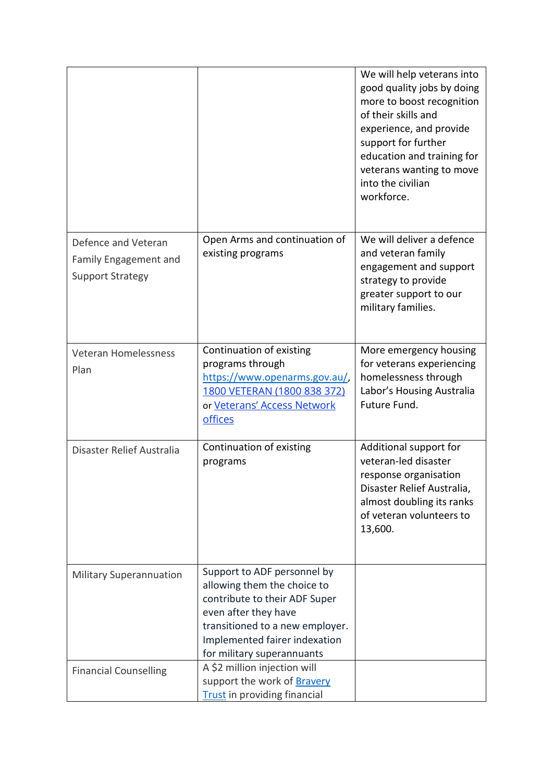|                                                                                |                                                                                                                                                                                                                       | We will help veterans into<br>good quality jobs by doing<br>more to boost recognition<br>of their skills and<br>experience, and provide<br>support for further<br>education and training for<br>veterans wanting to move<br>into the civilian<br>workforce. |
|--------------------------------------------------------------------------------|-----------------------------------------------------------------------------------------------------------------------------------------------------------------------------------------------------------------------|-------------------------------------------------------------------------------------------------------------------------------------------------------------------------------------------------------------------------------------------------------------|
| Defence and Veteran<br><b>Family Engagement and</b><br><b>Support Strategy</b> | Open Arms and continuation of<br>existing programs                                                                                                                                                                    | We will deliver a defence<br>and veteran family<br>engagement and support<br>strategy to provide<br>greater support to our<br>military families.                                                                                                            |
| <b>Veteran Homelessness</b><br>Plan                                            | Continuation of existing<br>programs through<br>https://www.openarms.gov.au/,<br>1800 VETERAN (1800 838 372)<br>or Veterans' Access Network<br>offices                                                                | More emergency housing<br>for veterans experiencing<br>homelessness through<br>Labor's Housing Australia<br>Future Fund.                                                                                                                                    |
| Disaster Relief Australia                                                      | Continuation of existing<br>programs                                                                                                                                                                                  | Additional support for<br>veteran-led disaster<br>response organisation<br>Disaster Relief Australia,<br>almost doubling its ranks<br>of veteran volunteers to<br>13,600.                                                                                   |
| <b>Military Superannuation</b>                                                 | Support to ADF personnel by<br>allowing them the choice to<br>contribute to their ADF Super<br>even after they have<br>transitioned to a new employer.<br>Implemented fairer indexation<br>for military superannuants |                                                                                                                                                                                                                                                             |
| <b>Financial Counselling</b>                                                   | A \$2 million injection will<br>support the work of Bravery<br><b>Trust</b> in providing financial                                                                                                                    |                                                                                                                                                                                                                                                             |